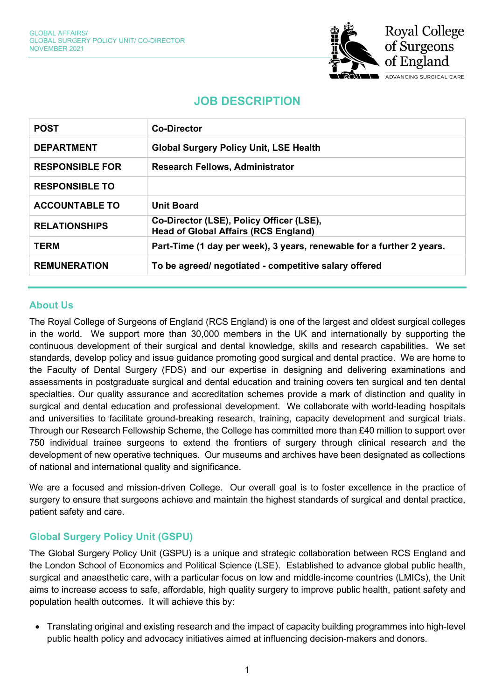

## **JOB DESCRIPTION**

| <b>POST</b>            | <b>Co-Director</b>                                                                      |
|------------------------|-----------------------------------------------------------------------------------------|
| <b>DEPARTMENT</b>      | <b>Global Surgery Policy Unit, LSE Health</b>                                           |
| <b>RESPONSIBLE FOR</b> | <b>Research Fellows, Administrator</b>                                                  |
| <b>RESPONSIBLE TO</b>  |                                                                                         |
| <b>ACCOUNTABLE TO</b>  | <b>Unit Board</b>                                                                       |
| <b>RELATIONSHIPS</b>   | Co-Director (LSE), Policy Officer (LSE),<br><b>Head of Global Affairs (RCS England)</b> |
| <b>TERM</b>            | Part-Time (1 day per week), 3 years, renewable for a further 2 years.                   |
| <b>REMUNERATION</b>    | To be agreed/ negotiated - competitive salary offered                                   |

### **About Us**

The Royal College of Surgeons of England (RCS England) is one of the largest and oldest surgical colleges in the world. We support more than 30,000 members in the UK and internationally by supporting the continuous development of their surgical and dental knowledge, skills and research capabilities. We set standards, develop policy and issue guidance promoting good surgical and dental practice. We are home to the Faculty of Dental Surgery (FDS) and our expertise in designing and delivering examinations and assessments in postgraduate surgical and dental education and training covers ten surgical and ten dental specialties. Our quality assurance and accreditation schemes provide a mark of distinction and quality in surgical and dental education and professional development. We collaborate with world-leading hospitals and universities to facilitate ground-breaking research, training, capacity development and surgical trials. Through our Research Fellowship Scheme, the College has committed more than £40 million to support over 750 individual trainee surgeons to extend the frontiers of surgery through clinical research and the development of new operative techniques. Our museums and archives have been designated as collections of national and international quality and significance.

We are a focused and mission-driven College. Our overall goal is to foster excellence in the practice of surgery to ensure that surgeons achieve and maintain the highest standards of surgical and dental practice, patient safety and care.

## **Global Surgery Policy Unit (GSPU)**

The Global Surgery Policy Unit (GSPU) is a unique and strategic collaboration between RCS England and the London School of Economics and Political Science (LSE). Established to advance global public health, surgical and anaesthetic care, with a particular focus on low and middle-income countries (LMICs), the Unit aims to increase access to safe, affordable, high quality surgery to improve public health, patient safety and population health outcomes. It will achieve this by:

• Translating original and existing research and the impact of capacity building programmes into high-level public health policy and advocacy initiatives aimed at influencing decision-makers and donors.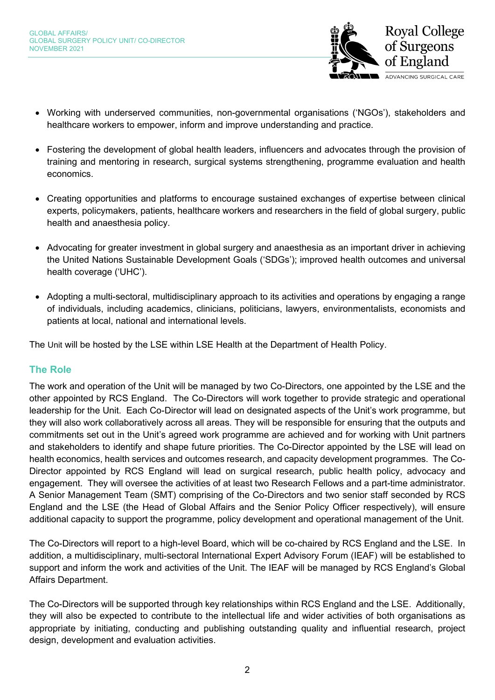

- Working with underserved communities, non-governmental organisations ('NGOs'), stakeholders and healthcare workers to empower, inform and improve understanding and practice.
- Fostering the development of global health leaders, influencers and advocates through the provision of training and mentoring in research, surgical systems strengthening, programme evaluation and health economics.
- Creating opportunities and platforms to encourage sustained exchanges of expertise between clinical experts, policymakers, patients, healthcare workers and researchers in the field of global surgery, public health and anaesthesia policy.
- Advocating for greater investment in global surgery and anaesthesia as an important driver in achieving the United Nations Sustainable Development Goals ('SDGs'); improved health outcomes and universal health coverage ('UHC').
- Adopting a multi-sectoral, multidisciplinary approach to its activities and operations by engaging a range of individuals, including academics, clinicians, politicians, lawyers, environmentalists, economists and patients at local, national and international levels.

The Unit will be hosted by the LSE within LSE Health at the Department of Health Policy.

#### **The Role**

The work and operation of the Unit will be managed by two Co-Directors, one appointed by the LSE and the other appointed by RCS England. The Co-Directors will work together to provide strategic and operational leadership for the Unit. Each Co-Director will lead on designated aspects of the Unit's work programme, but they will also work collaboratively across all areas. They will be responsible for ensuring that the outputs and commitments set out in the Unit's agreed work programme are achieved and for working with Unit partners and stakeholders to identify and shape future priorities. The Co-Director appointed by the LSE will lead on health economics, health services and outcomes research, and capacity development programmes. The Co-Director appointed by RCS England will lead on surgical research, public health policy, advocacy and engagement. They will oversee the activities of at least two Research Fellows and a part-time administrator. A Senior Management Team (SMT) comprising of the Co-Directors and two senior staff seconded by RCS England and the LSE (the Head of Global Affairs and the Senior Policy Officer respectively), will ensure additional capacity to support the programme, policy development and operational management of the Unit.

The Co-Directors will report to a high-level Board, which will be co-chaired by RCS England and the LSE. In addition, a multidisciplinary, multi-sectoral International Expert Advisory Forum (IEAF) will be established to support and inform the work and activities of the Unit. The IEAF will be managed by RCS England's Global Affairs Department.

The Co-Directors will be supported through key relationships within RCS England and the LSE. Additionally, they will also be expected to contribute to the intellectual life and wider activities of both organisations as appropriate by initiating, conducting and publishing outstanding quality and influential research, project design, development and evaluation activities.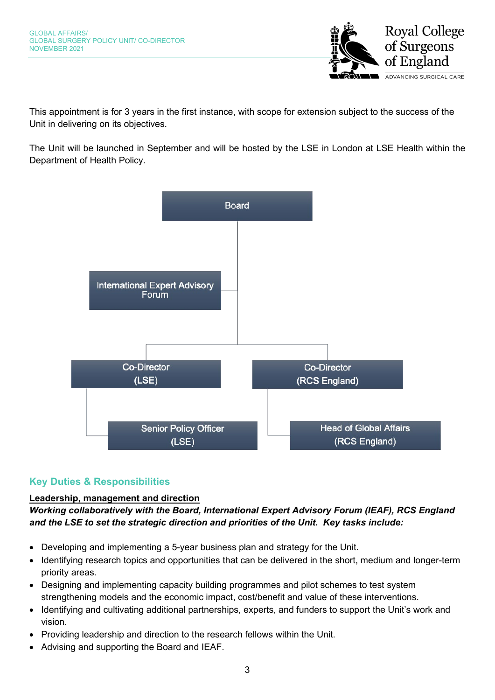

This appointment is for 3 years in the first instance, with scope for extension subject to the success of the Unit in delivering on its objectives.

The Unit will be launched in September and will be hosted by the LSE in London at LSE Health within the Department of Health Policy.



#### **Key Duties & Responsibilities**

#### **Leadership, management and direction**

*Working collaboratively with the Board, International Expert Advisory Forum (IEAF), RCS England and the LSE to set the strategic direction and priorities of the Unit. Key tasks include:*

- Developing and implementing a 5-year business plan and strategy for the Unit.
- Identifying research topics and opportunities that can be delivered in the short, medium and longer-term priority areas.
- Designing and implementing capacity building programmes and pilot schemes to test system strengthening models and the economic impact, cost/benefit and value of these interventions.
- Identifying and cultivating additional partnerships, experts, and funders to support the Unit's work and vision.
- Providing leadership and direction to the research fellows within the Unit.
- Advising and supporting the Board and IEAF.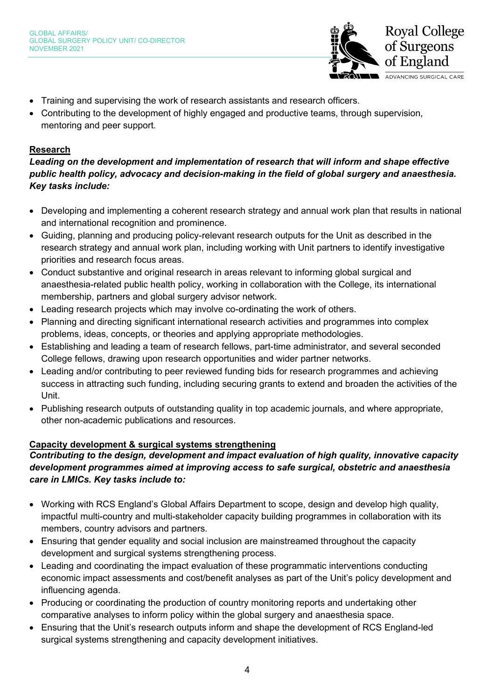

- Training and supervising the work of research assistants and research officers.
- Contributing to the development of highly engaged and productive teams, through supervision, mentoring and peer support.

#### **Research**

#### *Leading on the development and implementation of research that will inform and shape effective public health policy, advocacy and decision-making in the field of global surgery and anaesthesia. Key tasks include:*

- Developing and implementing a coherent research strategy and annual work plan that results in national and international recognition and prominence.
- Guiding, planning and producing policy-relevant research outputs for the Unit as described in the research strategy and annual work plan, including working with Unit partners to identify investigative priorities and research focus areas.
- Conduct substantive and original research in areas relevant to informing global surgical and anaesthesia-related public health policy, working in collaboration with the College, its international membership, partners and global surgery advisor network.
- Leading research projects which may involve co-ordinating the work of others.
- Planning and directing significant international research activities and programmes into complex problems, ideas, concepts, or theories and applying appropriate methodologies.
- Establishing and leading a team of research fellows, part-time administrator, and several seconded College fellows, drawing upon research opportunities and wider partner networks.
- Leading and/or contributing to peer reviewed funding bids for research programmes and achieving success in attracting such funding, including securing grants to extend and broaden the activities of the Unit.
- Publishing research outputs of outstanding quality in top academic journals, and where appropriate, other non-academic publications and resources.

### **Capacity development & surgical systems strengthening**

#### *Contributing to the design, development and impact evaluation of high quality, innovative capacity development programmes aimed at improving access to safe surgical, obstetric and anaesthesia care in LMICs. Key tasks include to:*

- Working with RCS England's Global Affairs Department to scope, design and develop high quality, impactful multi-country and multi-stakeholder capacity building programmes in collaboration with its members, country advisors and partners.
- Ensuring that gender equality and social inclusion are mainstreamed throughout the capacity development and surgical systems strengthening process.
- Leading and coordinating the impact evaluation of these programmatic interventions conducting economic impact assessments and cost/benefit analyses as part of the Unit's policy development and influencing agenda.
- Producing or coordinating the production of country monitoring reports and undertaking other comparative analyses to inform policy within the global surgery and anaesthesia space.
- Ensuring that the Unit's research outputs inform and shape the development of RCS England-led surgical systems strengthening and capacity development initiatives.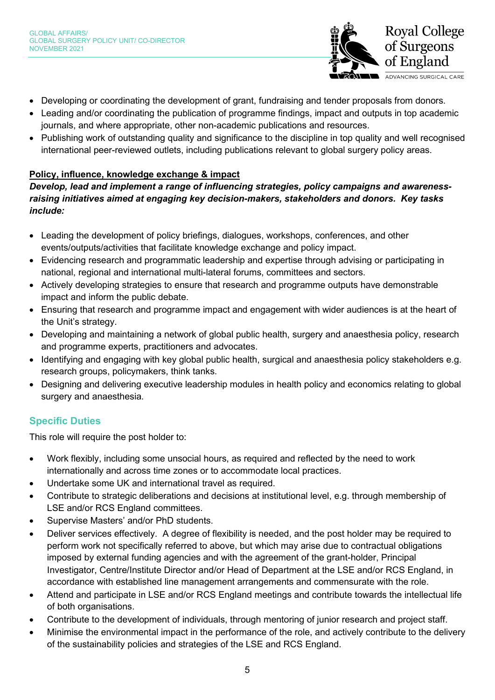

- Developing or coordinating the development of grant, fundraising and tender proposals from donors.
- Leading and/or coordinating the publication of programme findings, impact and outputs in top academic journals, and where appropriate, other non-academic publications and resources.
- Publishing work of outstanding quality and significance to the discipline in top quality and well recognised international peer-reviewed outlets, including publications relevant to global surgery policy areas.

#### **Policy, influence, knowledge exchange & impact**

*Develop, lead and implement a range of influencing strategies, policy campaigns and awarenessraising initiatives aimed at engaging key decision-makers, stakeholders and donors. Key tasks include:*

- Leading the development of policy briefings, dialogues, workshops, conferences, and other events/outputs/activities that facilitate knowledge exchange and policy impact.
- Evidencing research and programmatic leadership and expertise through advising or participating in national, regional and international multi-lateral forums, committees and sectors.
- Actively developing strategies to ensure that research and programme outputs have demonstrable impact and inform the public debate.
- Ensuring that research and programme impact and engagement with wider audiences is at the heart of the Unit's strategy.
- Developing and maintaining a network of global public health, surgery and anaesthesia policy, research and programme experts, practitioners and advocates.
- Identifying and engaging with key global public health, surgical and anaesthesia policy stakeholders e.g. research groups, policymakers, think tanks.
- Designing and delivering executive leadership modules in health policy and economics relating to global surgery and anaesthesia.

## **Specific Duties**

This role will require the post holder to:

- Work flexibly, including some unsocial hours, as required and reflected by the need to work internationally and across time zones or to accommodate local practices.
- Undertake some UK and international travel as required.
- Contribute to strategic deliberations and decisions at institutional level, e.g. through membership of LSE and/or RCS England committees.
- Supervise Masters' and/or PhD students.
- Deliver services effectively. A degree of flexibility is needed, and the post holder may be required to perform work not specifically referred to above, but which may arise due to contractual obligations imposed by external funding agencies and with the agreement of the grant-holder, Principal Investigator, Centre/Institute Director and/or Head of Department at the LSE and/or RCS England, in accordance with established line management arrangements and commensurate with the role.
- Attend and participate in LSE and/or RCS England meetings and contribute towards the intellectual life of both organisations.
- Contribute to the development of individuals, through mentoring of junior research and project staff.
- Minimise the environmental impact in the performance of the role, and actively contribute to the delivery of the sustainability policies and strategies of the LSE and RCS England.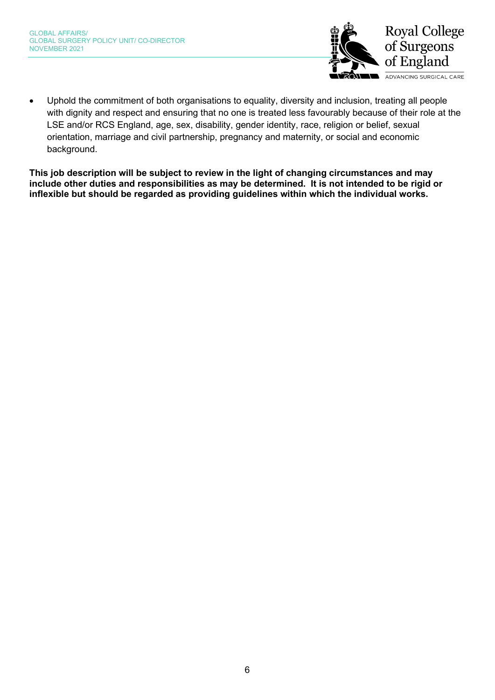

• Uphold the commitment of both organisations to equality, diversity and inclusion, treating all people with dignity and respect and ensuring that no one is treated less favourably because of their role at the LSE and/or RCS England, age, sex, disability, gender identity, race, religion or belief, sexual orientation, marriage and civil partnership, pregnancy and maternity, or social and economic background.

**This job description will be subject to review in the light of changing circumstances and may include other duties and responsibilities as may be determined. It is not intended to be rigid or inflexible but should be regarded as providing guidelines within which the individual works.**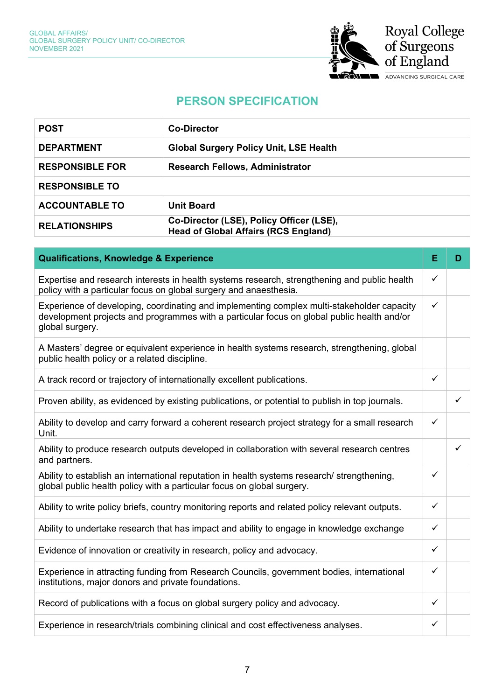

# **PERSON SPECIFICATION**

| <b>POST</b>                                                                                                                                                           | <b>Co-Director</b>                                                                                                                                                                       |              |   |
|-----------------------------------------------------------------------------------------------------------------------------------------------------------------------|------------------------------------------------------------------------------------------------------------------------------------------------------------------------------------------|--------------|---|
| <b>DEPARTMENT</b>                                                                                                                                                     | <b>Global Surgery Policy Unit, LSE Health</b>                                                                                                                                            |              |   |
| <b>RESPONSIBLE FOR</b>                                                                                                                                                | <b>Research Fellows, Administrator</b>                                                                                                                                                   |              |   |
| <b>RESPONSIBLE TO</b>                                                                                                                                                 |                                                                                                                                                                                          |              |   |
| <b>ACCOUNTABLE TO</b>                                                                                                                                                 | <b>Unit Board</b>                                                                                                                                                                        |              |   |
| <b>RELATIONSHIPS</b>                                                                                                                                                  | Co-Director (LSE), Policy Officer (LSE),<br><b>Head of Global Affairs (RCS England)</b>                                                                                                  |              |   |
|                                                                                                                                                                       |                                                                                                                                                                                          |              |   |
| <b>Qualifications, Knowledge &amp; Experience</b>                                                                                                                     |                                                                                                                                                                                          | Е            | D |
|                                                                                                                                                                       | Expertise and research interests in health systems research, strengthening and public health<br>policy with a particular focus on global surgery and anaesthesia.                        | ✓            |   |
| global surgery.                                                                                                                                                       | Experience of developing, coordinating and implementing complex multi-stakeholder capacity<br>development projects and programmes with a particular focus on global public health and/or | ✓            |   |
| public health policy or a related discipline.                                                                                                                         | A Masters' degree or equivalent experience in health systems research, strengthening, global                                                                                             |              |   |
| A track record or trajectory of internationally excellent publications.                                                                                               |                                                                                                                                                                                          | $\checkmark$ |   |
| Proven ability, as evidenced by existing publications, or potential to publish in top journals.                                                                       |                                                                                                                                                                                          |              | ✓ |
| Ability to develop and carry forward a coherent research project strategy for a small research<br>Unit.                                                               |                                                                                                                                                                                          | ✓            |   |
| and partners.                                                                                                                                                         | Ability to produce research outputs developed in collaboration with several research centres                                                                                             |              | ✓ |
| Ability to establish an international reputation in health systems research/ strengthening,<br>global public health policy with a particular focus on global surgery. |                                                                                                                                                                                          | ✓            |   |
|                                                                                                                                                                       | Ability to write policy briefs, country monitoring reports and related policy relevant outputs.                                                                                          | ✓            |   |
| Ability to undertake research that has impact and ability to engage in knowledge exchange                                                                             |                                                                                                                                                                                          | ✓            |   |
|                                                                                                                                                                       | Evidence of innovation or creativity in research, policy and advocacy.                                                                                                                   | ✓            |   |
| institutions, major donors and private foundations.                                                                                                                   | Experience in attracting funding from Research Councils, government bodies, international                                                                                                | ✓            |   |
|                                                                                                                                                                       | Record of publications with a focus on global surgery policy and advocacy.                                                                                                               | ✓            |   |
|                                                                                                                                                                       | Experience in research/trials combining clinical and cost effectiveness analyses.                                                                                                        | ✓            |   |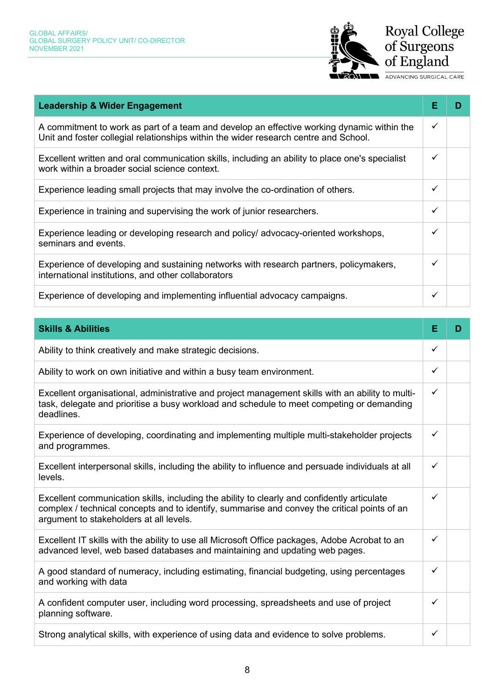

Royal College<br>of Surgeons<br>of England

ADVANCING SURGICAL CARE

| <b>Leadership &amp; Wider Engagement</b>                                                                                                                                           |              |  |
|------------------------------------------------------------------------------------------------------------------------------------------------------------------------------------|--------------|--|
| A commitment to work as part of a team and develop an effective working dynamic within the<br>Unit and foster collegial relationships within the wider research centre and School. | ✓            |  |
| Excellent written and oral communication skills, including an ability to place one's specialist<br>work within a broader social science context.                                   |              |  |
| Experience leading small projects that may involve the co-ordination of others.                                                                                                    | $\checkmark$ |  |
| Experience in training and supervising the work of junior researchers.                                                                                                             | ✓            |  |
| Experience leading or developing research and policy/ advocacy-oriented workshops,<br>seminars and events.                                                                         | $\checkmark$ |  |
| Experience of developing and sustaining networks with research partners, policymakers,<br>international institutions, and other collaborators                                      | ✓            |  |
| Experience of developing and implementing influential advocacy campaigns.                                                                                                          | ✓            |  |

| <b>Skills &amp; Abilities</b>                                                                                                                                                                                                          |   | D |
|----------------------------------------------------------------------------------------------------------------------------------------------------------------------------------------------------------------------------------------|---|---|
| Ability to think creatively and make strategic decisions.                                                                                                                                                                              | ✓ |   |
| Ability to work on own initiative and within a busy team environment.                                                                                                                                                                  | ✓ |   |
| Excellent organisational, administrative and project management skills with an ability to multi-<br>task, delegate and prioritise a busy workload and schedule to meet competing or demanding<br>deadlines.                            | ✓ |   |
| Experience of developing, coordinating and implementing multiple multi-stakeholder projects<br>and programmes.                                                                                                                         | ✓ |   |
| Excellent interpersonal skills, including the ability to influence and persuade individuals at all<br>levels.                                                                                                                          | ✓ |   |
| Excellent communication skills, including the ability to clearly and confidently articulate<br>complex / technical concepts and to identify, summarise and convey the critical points of an<br>argument to stakeholders at all levels. | ✓ |   |
| Excellent IT skills with the ability to use all Microsoft Office packages, Adobe Acrobat to an<br>advanced level, web based databases and maintaining and updating web pages.                                                          | ✓ |   |
| A good standard of numeracy, including estimating, financial budgeting, using percentages<br>and working with data                                                                                                                     | ✓ |   |
| A confident computer user, including word processing, spreadsheets and use of project<br>planning software.                                                                                                                            | ✓ |   |
| Strong analytical skills, with experience of using data and evidence to solve problems.                                                                                                                                                | ✓ |   |